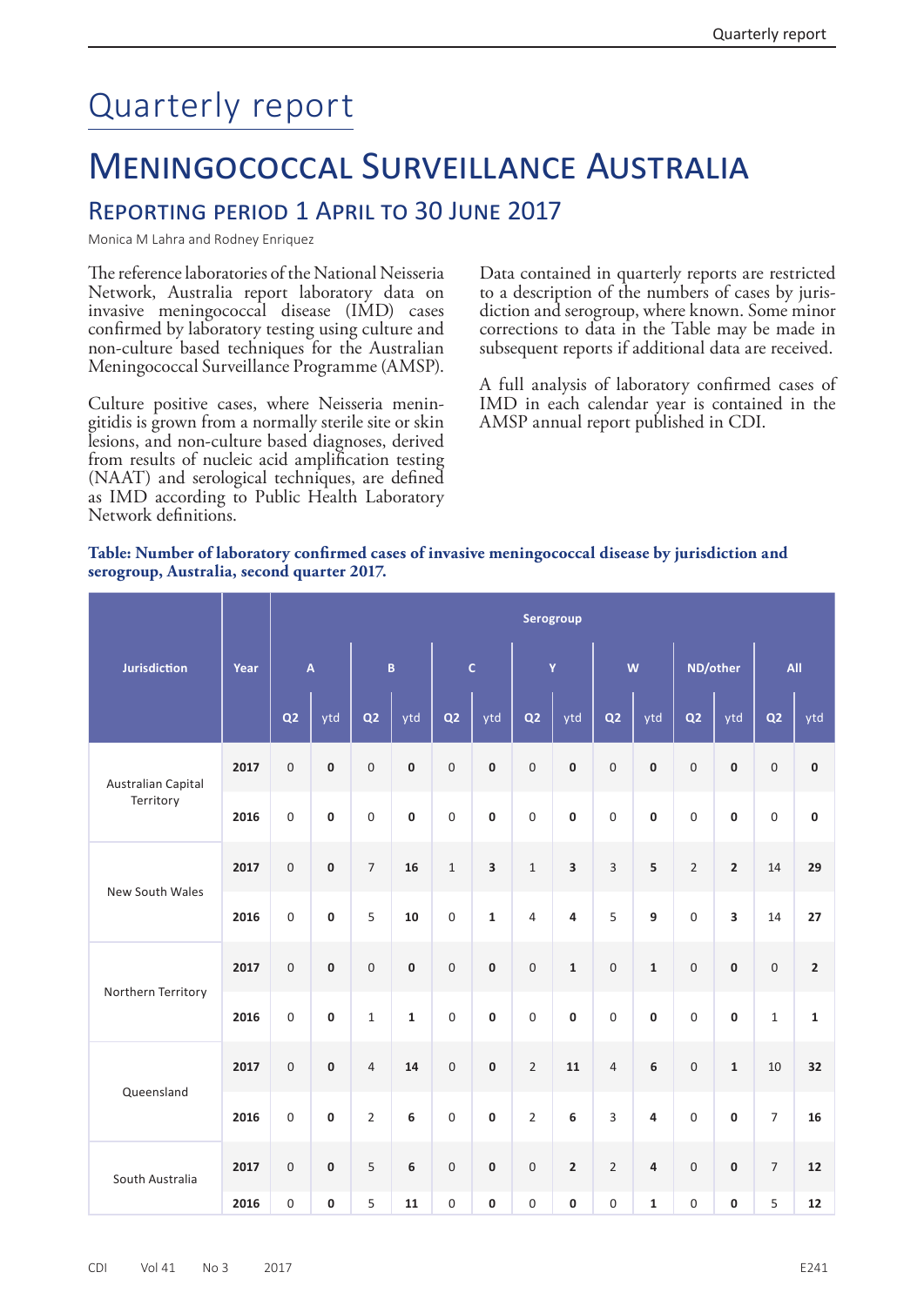## Quarterly report

## Meningococcal Surveillance Australia

## Reporting period 1 April to 30 June 2017

Monica M Lahra and Rodney Enriquez

The reference laboratories of the National Neisseria Network, Australia report laboratory data on invasive meningococcal disease (IMD) cases confirmed by laboratory testing using culture and non-culture based techniques for the Australian Meningococcal Surveillance Programme (AMSP).

Culture positive cases, where Neisseria meningitidis is grown from a normally sterile site or skin lesions, and non-culture based diagnoses, derived from results of nucleic acid amplification testing (NAAT) and serological techniques, are defined as IMD according to Public Health Laboratory Network definitions.

Data contained in quarterly reports are restricted to a description of the numbers of cases by jurisdiction and serogroup, where known. Some minor corrections to data in the Table may be made in subsequent reports if additional data are received.

A full analysis of laboratory confirmed cases of IMD in each calendar year is contained in the AMSP annual report published in CDI.

## **Table: Number of laboratory confirmed cases of invasive meningococcal disease by jurisdiction and serogroup, Australia, second quarter 2017.**

|                                 | Year | Serogroup               |           |                         |             |                  |                         |                    |              |                  |                         |                  |                         |                          |                         |
|---------------------------------|------|-------------------------|-----------|-------------------------|-------------|------------------|-------------------------|--------------------|--------------|------------------|-------------------------|------------------|-------------------------|--------------------------|-------------------------|
| <b>Jurisdiction</b>             |      | $\overline{\mathsf{A}}$ |           | $\overline{\mathbf{B}}$ |             | $\mathsf{C}$     |                         | $\bar{\mathbf{Y}}$ |              | W                |                         | ND/other         |                         | All                      |                         |
|                                 |      | Q <sub>2</sub>          | ytd       | Q <sub>2</sub>          | ytd         | Q <sub>2</sub>   | ytd                     | Q <sub>2</sub>     | ytd          | Q <sub>2</sub>   | ytd                     | Q2               | ytd                     | Q <sub>2</sub>           | ytd                     |
| Australian Capital<br>Territory | 2017 | $\boldsymbol{0}$        | 0         | 0                       | $\pmb{0}$   | $\mathbf 0$      | $\pmb{0}$               | $\boldsymbol{0}$   | $\pmb{0}$    | 0                | $\pmb{0}$               | $\mathbf 0$      | $\pmb{0}$               | $\boldsymbol{0}$         | $\pmb{0}$               |
|                                 | 2016 | $\boldsymbol{0}$        | $\pmb{0}$ | 0                       | $\bf{0}$    | $\boldsymbol{0}$ | $\mathbf 0$             | $\boldsymbol{0}$   | $\pmb{0}$    | 0                | $\pmb{0}$               | $\mathbf 0$      | $\pmb{0}$               | $\mathbf 0$              | $\pmb{0}$               |
| New South Wales                 | 2017 | $\boldsymbol{0}$        | $\pmb{0}$ | $\overline{7}$          | 16          | $\mathbf 1$      | $\overline{\mathbf{3}}$ | $\,1\,$            | 3            | 3                | 5                       | $\overline{2}$   | $\overline{2}$          | 14                       | 29                      |
|                                 | 2016 | $\boldsymbol{0}$        | 0         | 5                       | 10          | $\boldsymbol{0}$ | $\mathbf{1}$            | $\overline{4}$     | 4            | 5                | 9                       | $\mathbf 0$      | $\overline{\mathbf{3}}$ | 14                       | 27                      |
| Northern Territory              | 2017 | $\boldsymbol{0}$        | $\pmb{0}$ | $\boldsymbol{0}$        | $\pmb{0}$   | $\mathbf 0$      | $\pmb{0}$               | $\mathbf 0$        | $\mathbf{1}$ | $\overline{0}$   | $\mathbf 1$             | $\mathbf 0$      | $\pmb{0}$               | $\boldsymbol{0}$         | $\overline{\mathbf{c}}$ |
|                                 | 2016 | $\boldsymbol{0}$        | $\pmb{0}$ | $\mathbf 1$             | $\mathbf 1$ | $\mathbf 0$      | $\pmb{0}$               | $\boldsymbol{0}$   | $\pmb{0}$    | $\boldsymbol{0}$ | $\pmb{0}$               | $\mathbf 0$      | $\pmb{0}$               | $\mathbf 1$              | $\mathbf 1$             |
| Queensland                      | 2017 | $\mathsf{O}\xspace$     | $\pmb{0}$ | $\overline{4}$          | 14          | $\mathbf 0$      | $\pmb{0}$               | $\overline{2}$     | 11           | $\overline{4}$   | 6                       | $\mathbf 0$      | $\mathbf 1$             | 10                       | 32                      |
|                                 | 2016 | $\boldsymbol{0}$        | $\pmb{0}$ | $\overline{2}$          | 6           | $\boldsymbol{0}$ | $\pmb{0}$               | $\overline{2}$     | 6            | $\overline{3}$   | 4                       | $\boldsymbol{0}$ | $\pmb{0}$               | $\overline{7}$           | 16                      |
| South Australia                 | 2017 | $\boldsymbol{0}$        | $\pmb{0}$ | 5                       | 6           | $\boldsymbol{0}$ | $\pmb{0}$               | $\mathbf 0$        | $\mathbf 2$  | $\overline{2}$   | $\overline{\mathbf{4}}$ | $\mathbf 0$      | $\pmb{0}$               | $\overline{\phantom{a}}$ | 12                      |
|                                 | 2016 | $\boldsymbol{0}$        | 0         | 5                       | 11          | $\boldsymbol{0}$ | 0                       | $\boldsymbol{0}$   | $\pmb{0}$    | 0                | $\mathbf 1$             | $\boldsymbol{0}$ | $\pmb{0}$               | 5                        | 12                      |